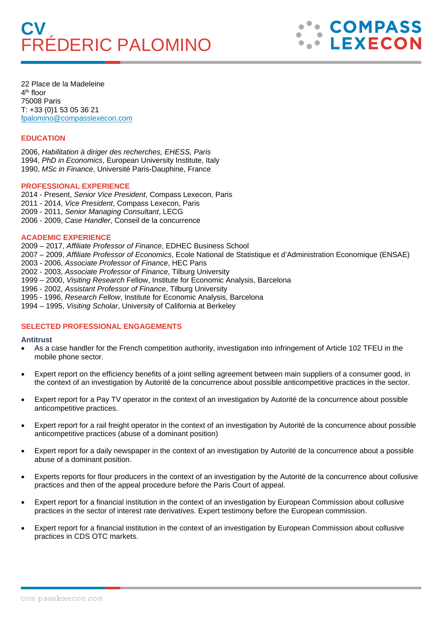# **FRÉDERIC PALOMINO**



22 Place de la Madeleine 4th floor 75008 Paris T: +33 (0)1 53 05 36 21 fpalomino@compasslexecon.com

# **EDUCATION**

2006, *Habilitation à diriger des recherches, EHESS, Paris* 1994, *PhD in Economics*, European University Institute, Italy 1990, *MSc in Finance*, Université Paris-Dauphine, France

### **PROFESSIONAL EXPERIENCE**

2014 - Present, *Senior Vice President*, Compass Lexecon, Paris 2011 - 2014, *Vice President*, Compass Lexecon, Paris 2009 - 2011, *Senior Managing Consultant*, LECG 2006 - 2009, *Case Handler*, Conseil de la concurrence

### **ACADEMIC EXPERIENCE**

2009 – 2017, *Affiliate Professor of Finance*, EDHEC Business School 2007 – 2009, *Affiliate Professor of Economics*, Ecole National de Statistique et d'Administration Economique (ENSAE) 2003 - 2006, *Associate Professor of Finance*, HEC Paris 2002 - 2003, *Associate Professor of Finance*, Tilburg University 1999 – 2000, *Visiting Research* Fellow, Institute for Economic Analysis, Barcelona 1996 - 2002, *Assistant Professor of Finance*, Tilburg University 1995 - 1996, *Research Fellow*, Institute for Economic Analysis, Barcelona 1994 – 1995, *Visiting Scholar*, University of California at Berkeley

## **SELECTED PROFESSIONAL ENGAGEMENTS**

### **Antitrust**

- As a case handler for the French competition authority, investigation into infringement of Article 102 TFEU in the mobile phone sector.
- Expert report on the efficiency benefits of a joint selling agreement between main suppliers of a consumer good, in the context of an investigation by Autorité de la concurrence about possible anticompetitive practices in the sector.
- Expert report for a Pay TV operator in the context of an investigation by Autorité de la concurrence about possible anticompetitive practices.
- Expert report for a rail freight operator in the context of an investigation by Autorité de la concurrence about possible anticompetitive practices (abuse of a dominant position)
- Expert report for a daily newspaper in the context of an investigation by Autorité de la concurrence about a possible abuse of a dominant position.
- Experts reports for flour producers in the context of an investigation by the Autorité de la concurrence about collusive practices and then of the appeal procedure before the Paris Court of appeal.
- Expert report for a financial institution in the context of an investigation by European Commission about collusive practices in the sector of interest rate derivatives. Expert testimony before the European commission.
- Expert report for a financial institution in the context of an investigation by European Commission about collusive practices in CDS OTC markets.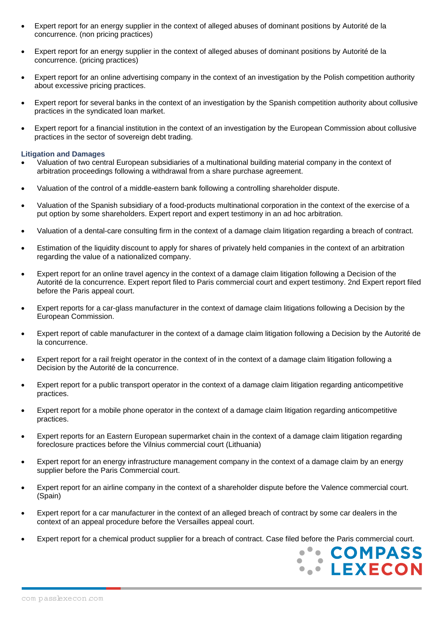- Expert report for an energy supplier in the context of alleged abuses of dominant positions by Autorité de la concurrence. (non pricing practices)
- Expert report for an energy supplier in the context of alleged abuses of dominant positions by Autorité de la concurrence. (pricing practices)
- Expert report for an online advertising company in the context of an investigation by the Polish competition authority about excessive pricing practices.
- Expert report for several banks in the context of an investigation by the Spanish competition authority about collusive practices in the syndicated loan market.
- Expert report for a financial institution in the context of an investigation by the European Commission about collusive practices in the sector of sovereign debt trading.

### **Litigation and Damages**

- Valuation of two central European subsidiaries of a multinational building material company in the context of arbitration proceedings following a withdrawal from a share purchase agreement.
- Valuation of the control of a middle-eastern bank following a controlling shareholder dispute.
- Valuation of the Spanish subsidiary of a food-products multinational corporation in the context of the exercise of a put option by some shareholders. Expert report and expert testimony in an ad hoc arbitration.
- Valuation of a dental-care consulting firm in the context of a damage claim litigation regarding a breach of contract.
- Estimation of the liquidity discount to apply for shares of privately held companies in the context of an arbitration regarding the value of a nationalized company.
- Expert report for an online travel agency in the context of a damage claim litigation following a Decision of the Autorité de la concurrence. Expert report filed to Paris commercial court and expert testimony. 2nd Expert report filed before the Paris appeal court.
- Expert reports for a car-glass manufacturer in the context of damage claim litigations following a Decision by the European Commission.
- Expert report of cable manufacturer in the context of a damage claim litigation following a Decision by the Autorité de la concurrence.
- Expert report for a rail freight operator in the context of in the context of a damage claim litigation following a Decision by the Autorité de la concurrence.
- Expert report for a public transport operator in the context of a damage claim litigation regarding anticompetitive practices.
- Expert report for a mobile phone operator in the context of a damage claim litigation regarding anticompetitive practices.
- Expert reports for an Eastern European supermarket chain in the context of a damage claim litigation regarding foreclosure practices before the Vilnius commercial court (Lithuania)
- Expert report for an energy infrastructure management company in the context of a damage claim by an energy supplier before the Paris Commercial court.
- Expert report for an airline company in the context of a shareholder dispute before the Valence commercial court. (Spain)
- Expert report for a car manufacturer in the context of an alleged breach of contract by some car dealers in the context of an appeal procedure before the Versailles appeal court.
- Expert report for a chemical product supplier for a breach of contract. Case filed before the Paris commercial court.

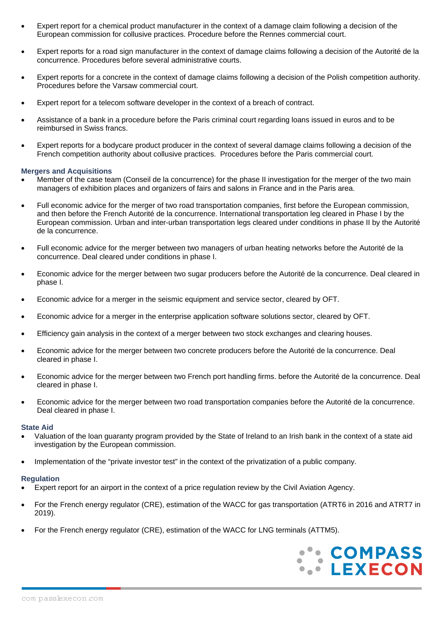- Expert report for a chemical product manufacturer in the context of a damage claim following a decision of the European commission for collusive practices. Procedure before the Rennes commercial court.
- Expert reports for a road sign manufacturer in the context of damage claims following a decision of the Autorité de la concurrence. Procedures before several administrative courts.
- Expert reports for a concrete in the context of damage claims following a decision of the Polish competition authority. Procedures before the Varsaw commercial court.
- Expert report for a telecom software developer in the context of a breach of contract.
- Assistance of a bank in a procedure before the Paris criminal court regarding loans issued in euros and to be reimbursed in Swiss francs.
- Expert reports for a bodycare product producer in the context of several damage claims following a decision of the French competition authority about collusive practices. Procedures before the Paris commercial court.

## **Mergers and Acquisitions**

- Member of the case team (Conseil de la concurrence) for the phase II investigation for the merger of the two main managers of exhibition places and organizers of fairs and salons in France and in the Paris area.
- Full economic advice for the merger of two road transportation companies, first before the European commission, and then before the French Autorité de la concurrence. International transportation leg cleared in Phase I by the European commission. Urban and inter-urban transportation legs cleared under conditions in phase II by the Autorité de la concurrence.
- Full economic advice for the merger between two managers of urban heating networks before the Autorité de la concurrence. Deal cleared under conditions in phase I.
- Economic advice for the merger between two sugar producers before the Autorité de la concurrence. Deal cleared in phase I.
- Economic advice for a merger in the seismic equipment and service sector, cleared by OFT.
- Economic advice for a merger in the enterprise application software solutions sector, cleared by OFT.
- Efficiency gain analysis in the context of a merger between two stock exchanges and clearing houses.
- Economic advice for the merger between two concrete producers before the Autorité de la concurrence. Deal cleared in phase I.
- Economic advice for the merger between two French port handling firms. before the Autorité de la concurrence. Deal cleared in phase I.
- Economic advice for the merger between two road transportation companies before the Autorité de la concurrence. Deal cleared in phase I.

## **State Aid**

- Valuation of the loan guaranty program provided by the State of Ireland to an Irish bank in the context of a state aid investigation by the European commission.
- Implementation of the "private investor test" in the context of the privatization of a public company.

## **Regulation**

- Expert report for an airport in the context of a price regulation review by the Civil Aviation Agency.
- For the French energy regulator (CRE), estimation of the WACC for gas transportation (ATRT6 in 2016 and ATRT7 in 2019).
- For the French energy regulator (CRE), estimation of the WACC for LNG terminals (ATTM5).

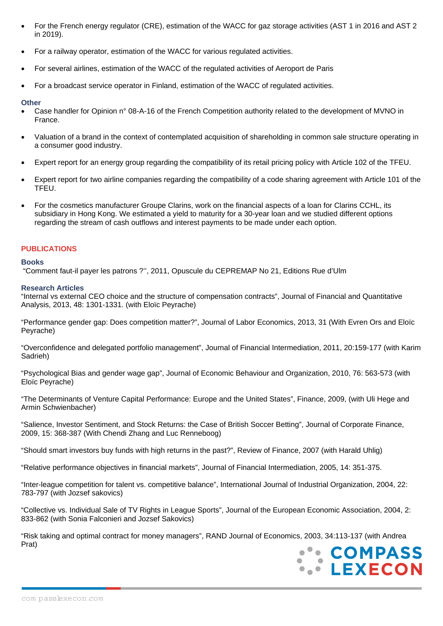- For the French energy regulator (CRE), estimation of the WACC for gaz storage activities (AST 1 in 2016 and AST 2 in 2019).
- For a railway operator, estimation of the WACC for various regulated activities.
- For several airlines, estimation of the WACC of the regulated activities of Aeroport de Paris
- For a broadcast service operator in Finland, estimation of the WACC of regulated activities.

## **Other**

- Case handler for Opinion n° 08-A-16 of the French Competition authority related to the development of MVNO in France.
- Valuation of a brand in the context of contemplated acquisition of shareholding in common sale structure operating in a consumer good industry.
- Expert report for an energy group regarding the compatibility of its retail pricing policy with Article 102 of the TFEU.
- Expert report for two airline companies regarding the compatibility of a code sharing agreement with Article 101 of the TFEU.
- For the cosmetics manufacturer Groupe Clarins, work on the financial aspects of a loan for Clarins CCHL, its subsidiary in Hong Kong. We estimated a yield to maturity for a 30-year loan and we studied different options regarding the stream of cash outflows and interest payments to be made under each option.

# **PUBLICATIONS**

## **Books**

"Comment faut-il payer les patrons ?'', 2011, Opuscule du CEPREMAP No 21, Editions Rue d'Ulm

## **Research Articles**

"Internal vs external CEO choice and the structure of compensation contracts", Journal of Financial and Quantitative Analysis, 2013, 48: 1301-1331. (with Eloïc Peyrache)

"Performance gender gap: Does competition matter?", Journal of Labor Economics, 2013, 31 (With Evren Ors and Eloïc Peyrache)

"Overconfidence and delegated portfolio management", Journal of Financial Intermediation, 2011, 20:159-177 (with Karim Sadrieh)

"Psychological Bias and gender wage gap", Journal of Economic Behaviour and Organization, 2010, 76: 563-573 (with Eloïc Peyrache)

"The Determinants of Venture Capital Performance: Europe and the United States", Finance, 2009, (with Uli Hege and Armin Schwienbacher)

"Salience, Investor Sentiment, and Stock Returns: the Case of British Soccer Betting", Journal of Corporate Finance, 2009, 15: 368-387 (With Chendi Zhang and Luc Renneboog)

"Should smart investors buy funds with high returns in the past?", Review of Finance, 2007 (with Harald Uhlig)

"Relative performance objectives in financial markets", Journal of Financial Intermediation, 2005, 14: 351-375.

"Inter-league competition for talent vs. competitive balance", International Journal of Industrial Organization, 2004, 22: 783-797 (with Jozsef sakovics)

"Collective vs. Individual Sale of TV Rights in League Sports", Journal of the European Economic Association, 2004, 2: 833-862 (with Sonia Falconieri and Jozsef Sakovics)

"Risk taking and optimal contract for money managers", RAND Journal of Economics, 2003, 34:113-137 (with Andrea Prat)

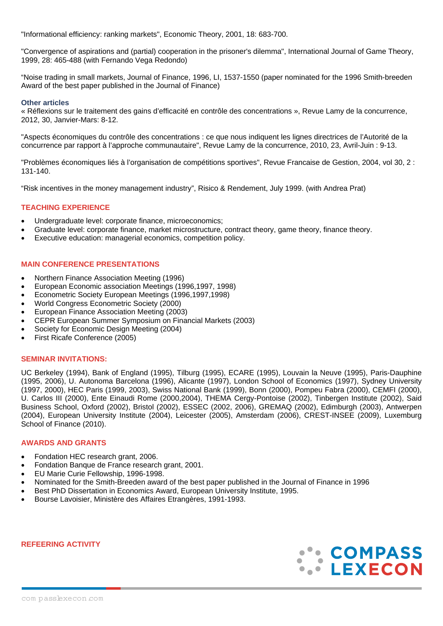"Informational efficiency: ranking markets", Economic Theory, 2001, 18: 683-700.

"Convergence of aspirations and (partial) cooperation in the prisoner's dilemma", International Journal of Game Theory, 1999, 28: 465-488 (with Fernando Vega Redondo)

"Noise trading in small markets, Journal of Finance, 1996, LI, 1537-1550 (paper nominated for the 1996 Smith-breeden Award of the best paper published in the Journal of Finance)

## **Other articles**

« Réflexions sur le traitement des gains d'efficacité en contrôle des concentrations », Revue Lamy de la concurrence, 2012, 30, Janvier-Mars: 8-12.

"Aspects économiques du contrôle des concentrations : ce que nous indiquent les lignes directrices de l'Autorité de la concurrence par rapport à l'approche communautaire", Revue Lamy de la concurrence, 2010, 23, Avril-Juin : 9-13.

"Problèmes économiques liés à l'organisation de compétitions sportives", Revue Francaise de Gestion, 2004, vol 30, 2 : 131-140.

"Risk incentives in the money management industry", Risico & Rendement, July 1999. (with Andrea Prat)

# **TEACHING EXPERIENCE**

- Undergraduate level: corporate finance, microeconomics;
- Graduate level: corporate finance, market microstructure, contract theory, game theory, finance theory.
- Executive education: managerial economics, competition policy.

# **MAIN CONFERENCE PRESENTATIONS**

- Northern Finance Association Meeting (1996)
- European Economic association Meetings (1996,1997, 1998)
- Econometric Society European Meetings (1996,1997,1998)
- World Congress Econometric Society (2000)
- European Finance Association Meeting (2003)
- CEPR European Summer Symposium on Financial Markets (2003)
- Society for Economic Design Meeting (2004)
- First Ricafe Conference (2005)

## **SEMINAR INVITATIONS:**

UC Berkeley (1994), Bank of England (1995), Tilburg (1995), ECARE (1995), Louvain la Neuve (1995), Paris-Dauphine (1995, 2006), U. Autonoma Barcelona (1996), Alicante (1997), London School of Economics (1997), Sydney University (1997, 2000), HEC Paris (1999, 2003), Swiss National Bank (1999), Bonn (2000), Pompeu Fabra (2000), CEMFI (2000), U. Carlos III (2000), Ente Einaudi Rome (2000,2004), THEMA Cergy-Pontoise (2002), Tinbergen Institute (2002), Said Business School, Oxford (2002), Bristol (2002), ESSEC (2002, 2006), GREMAQ (2002), Edimburgh (2003), Antwerpen (2004), European University Institute (2004), Leicester (2005), Amsterdam (2006), CREST-INSEE (2009), Luxemburg School of Finance (2010).

# **AWARDS AND GRANTS**

- Fondation HEC research grant, 2006.
- Fondation Banque de France research grant, 2001.
- EU Marie Curie Fellowship, 1996-1998.
- Nominated for the Smith-Breeden award of the best paper published in the Journal of Finance in 1996
- Best PhD Dissertation in Economics Award, European University Institute, 1995.
- Bourse Lavoisier, Ministère des Affaires Etrangères, 1991-1993.

**REFEERING ACTIVITY**